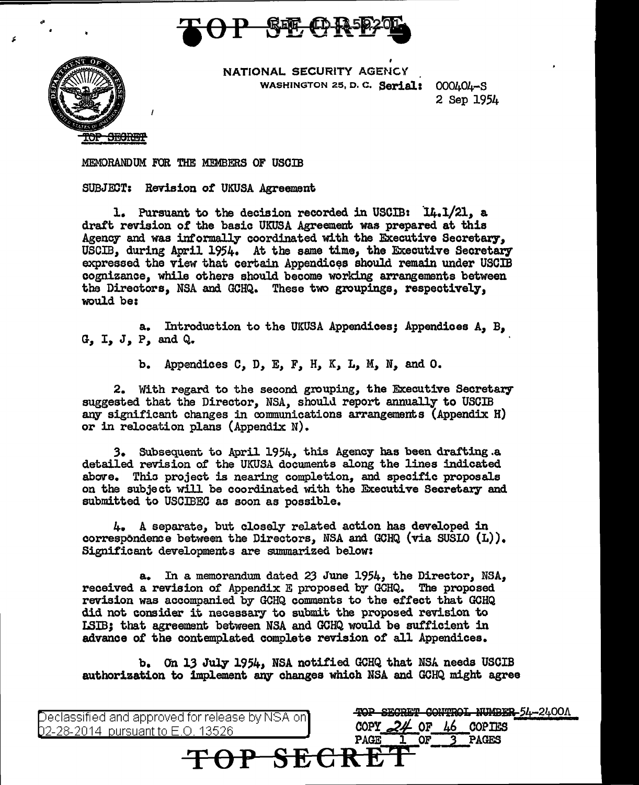



NATIONAL SECURITY AGENCY WASHINGTON 25, D. C. Serial: 000404-S

2 Sep 1954

MEMORANDUM FOR THE MEMBERS OF USOIB

SUBJ.EDT: Revision *ot* UKUSA Agreement

l. Pursuant to the decision recorded in USCIB: 14.1/21, a draft revision of the basic UKUSA Agreement was prepared at this Agency and was informally coordinated with the Executive Secretary, USCIB, during April 1954. At the same time, the Executive Secretary expressed the view that certain Appendices should remain under USCIB cognizance, while others should become working arrangements between the Directors, NSA and GCHQ. These two groupings, respectively, would be:

a. Introduction to the UKUSA Appendices; Appendices A, B, G, I, J, P, and Q.

b. Appendices C, *D,* E, *F,* H, K, L, *M,* N, and O.

2. With regard to the second grouping, the Executive Secretary suggested that the Director, NSA, should report annually to USCIB any significant changes in communications arrangements (Appendix H) or in relocation plans (Appendix N).

3. Subsequent to April 1954, this Agency has been drafting a detailed revision o£ the UKUSA documents along the lines indicated above. Thio project is nearing completion, and specific proposals on the subject will be coordinated with the Executive Secretary and submitted to USCIBEO as soon as possible.

4. A separate, but closely related action has developed in correspondence between the Directors, NSA and GCHQ (via SUSIO  $(L)$ ). Significant developments are sununarized below:

a. In a memorandum dated 23 June 1954, the Director, NSA, received a revision of Appendix E proposed by GCHQ. The proposed revision was accompanied by GCHQ comments to the effect that OOHQ did not consider it necessary to submit the proposed revision to rsm; that agreement between NSA and GCHQ would be sufficient in advance 0£ the contemplated complete revision of all Appendices.

b. On 13 July 1954, NSA notified GCHQ that NSA needs USCIB authorization to implement any changes which NSA and GCHQ might agree

eclassified and approved for release by NSA on 02-28-2014 pursuant to E.O. 13526

TOP SECRET CONTROL NUMBER 54-2400A COPY 24 OF 46 COPIES<br>PAGE 1 OF 3 PAGES **TOP SECRE'I'** -3 PAGES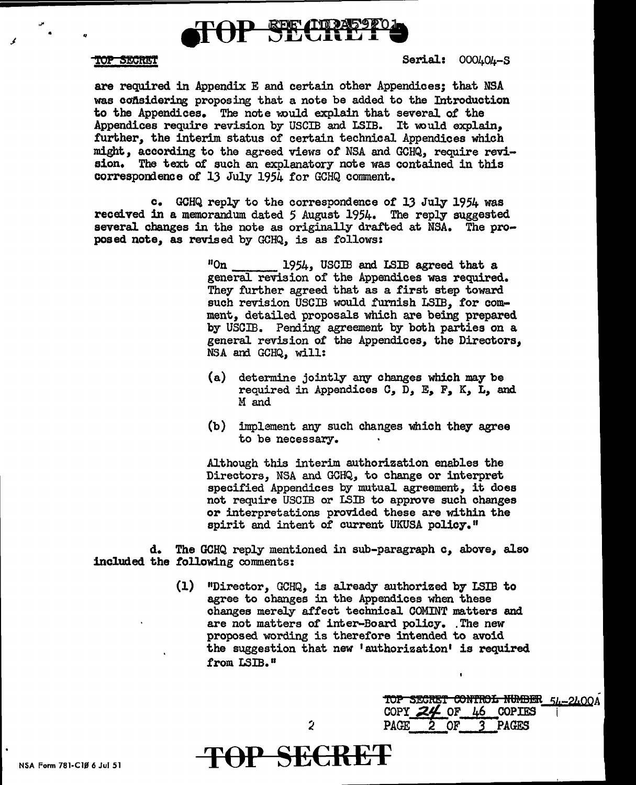

## **TOP SECRET**

.J

,,. • ,,

Serial: 000404-S

are required in Appendix E and certain other Appendices; that NSA was considering proposing that a note be added to the Introduction to the Appendices. The note would explain that several of the Appendices require revision by USCIB and LSIB. It would explain. further, the interim status of certain technical Appendices which might, according to the agreed views of NSA and GCHQ, require revision. The text *ot* such an explanatory note was contained in this correspondence of 13 July 1954 for GCHQ comment.

c. GCHQ reply to the correspondence of lJ July 1954 was received in a memorandum dated 5 August 1954. The reply suggested several changes in the note as originally drafted at NSA. The proposed note, as revised by GCHQ, is as follows:

> "On 1954, USCIB and I.SIB agreed that a general revision of the Appendices was required. They further agreed that as a first step toward such revision USCIB would furnish LSIB, for comment, detailed proposals which are being prepared by USCIB. Pending agreement by both parties on a general revision of the Appendices, the Directors, NSA and GCHQ, will:

- (a) determine jointly any changes which may be required in Appendices C,  $\bar{D}$ , E, F, K, L, and M and
- (b) implement any such changes which they agree to be necessary.

Although this interim authorization enables the Directors, NSA and GCHQ, to change or interpret specified Appendices by mutual agreement, it does not require USCIB or I.SIB to approve such changes or interpretations provided these are within the spirit and intent of current UKUSA policy."

d. The GCHQ reply mentioned in sub-paragraph *c,* above, also included. the following comments:

> (1) "Director, GCHQ, is already authorized by LSIB to agree to changes in the Appendices when these changes merely affect technical COMINT matters and are not matters of inter-Board policy. The new proposed wording is therefore intended to avoid the suggestion that new 1 authorization' is required from LSIB."

> > TOP SECRET CONTROL NUMBER 51-2400A

COPY 24 OF 46 COPIES

PAGE 2 OF *3* PAGES